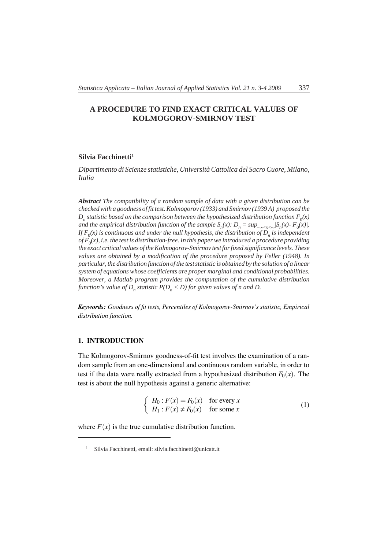# **A PROCEDURE TO FIND EXACT CRITICAL VALUES OF KOLMOGOROV-SMIRNOV TEST**

## **Silvia Facchinetti1**

*Dipartimento di Scienze statistiche, Università Cattolica del Sacro Cuore, Milano, Italia*

*Abstract The compatibility of a random sample of data with a given distribution can be checked with a goodness of fit test. Kolmogorov (1933) and Smirnov (1939 A) proposed the*  $D_n$  *statistic based on the comparison between the hypothesized distribution function*  $F_0(x)$ *and the empirical distribution function of the sample*  $S_n(x)$ :  $D_n = \sup_{-\infty \le x \le \infty} |S_n(x) - F_0(x)|$ . *If*  $F_0(x)$  *is continuous and under the null hypothesis, the distribution of*  $\tilde{D}_n$  *is independent*  $of F<sub>0</sub>(x)$ , *i.e. the test is distribution-free. In this paper we introduced a procedure providing the exact critical values of the Kolmogorov-Smirnov test for fixed significance levels. These values are obtained by a modification of the procedure proposed by Feller (1948). In particular, the distribution function of the test statistic is obtained by the solution of a linear system of equations whose coefficients are proper marginal and conditional probabilities. Moreover, a Matlab program provides the computation of the cumulative distribution function's value of D<sub>n</sub> statistic*  $P(D_n < D)$  *for given values of n and D.* 

*Keywords: Goodness of fit tests, Percentiles of Kolmogorov-Smirnov's statistic, Empirical distribution function.*

# 1. INTRODUCTION

The Kolmogorov-Smirnov goodness-of-fit test involves the examination of a random sample from an one-dimensional and continuous random variable, in order to test if the data were really extracted from a hypothesized distribution  $F_0(x)$ . The test is about the null hypothesis against a generic alternative:

$$
\begin{cases}\nH_0: F(x) = F_0(x) & \text{for every } x \\
H_1: F(x) \neq F_0(x) & \text{for some } x\n\end{cases}
$$
\n(1)

where  $F(x)$  is the true cumulative distribution function.

<sup>&</sup>lt;sup>1</sup> Silvia Facchinetti, email: silvia.facchinetti@unicatt.it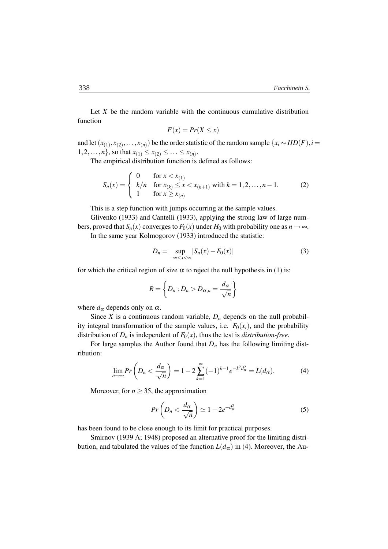Let *X* be the random variable with the continuous cumulative distribution function

$$
F(x) = Pr(X \le x)
$$

and let  $(x_{(1)}, x_{(2)},...,x_{(n)})$  be the order statistic of the random sample  $\{x_i \sim IID(F), i =$  $1, 2, \ldots, n\}$ , so that  $x_{(1)} \leq x_{(2)} \leq \ldots \leq x_{(n)}$ .

The empirical distribution function is defined as follows:

$$
S_n(x) = \begin{cases} 0 & \text{for } x < x_{(1)} \\ k/n & \text{for } x_{(k)} \le x < x_{(k+1)} \text{ with } k = 1, 2, \dots, n-1. \\ 1 & \text{for } x \ge x_{(n)} \end{cases}
$$
 (2)

This is a step function with jumps occurring at the sample values.

Glivenko (1933) and Cantelli (1933), applying the strong law of large numbers, proved that  $S_n(x)$  converges to  $F_0(x)$  under  $H_0$  with probability one as  $n \to \infty$ . In the same year Kolmogorov (1933) introduced the statistic:

$$
D_n = \sup_{-\infty < x < \infty} |S_n(x) - F_0(x)| \tag{3}
$$

for which the critical region of size  $\alpha$  to reject the null hypothesis in (1) is:

$$
R=\left\{D_n: D_n>D_{\alpha,n}=\frac{d_\alpha}{\sqrt{n}}\right\}
$$

where  $d_{\alpha}$  depends only on  $\alpha$ .

Since *X* is a continuous random variable,  $D_n$  depends on the null probability integral transformation of the sample values, i.e.  $F_0(x_i)$ , and the probability distribution of  $D_n$  is independent of  $F_0(x)$ , thus the test is *distribution-free*.

For large samples the Author found that  $D_n$  has the following limiting distribution:

$$
\lim_{n\to\infty} Pr\left(D_n < \frac{d_\alpha}{\sqrt{n}}\right) = 1 - 2\sum_{k=1}^{\infty} (-1)^{k-1} e^{-k^2 d_\alpha^2} = L(d_\alpha). \tag{4}
$$

Moreover, for  $n \geq 35$ , the approximation

$$
Pr\left(D_n < \frac{d_{\alpha}}{\sqrt{n}}\right) \simeq 1 - 2e^{-d_{\alpha}^2} \tag{5}
$$

has been found to be close enough to its limit for practical purposes.

Smirnov (1939 A; 1948) proposed an alternative proof for the limiting distribution, and tabulated the values of the function  $L(d_{\alpha})$  in (4). Moreover, the Au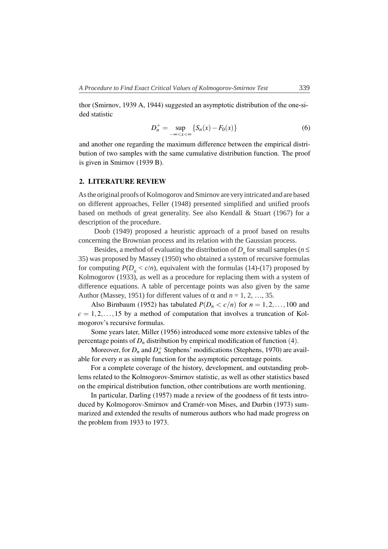thor (Smirnov, 1939 A, 1944) suggested an asymptotic distribution of the one-sided statistic

$$
D_n^+ = \sup_{-\infty < x < \infty} \{ S_n(x) - F_0(x) \} \tag{6}
$$

and another one regarding the maximum difference between the empirical distribution of two samples with the same cumulative distribution function. The proof is given in Smirnov (1939 B).

# 2. LITERATURE REVIEW

As the original proofs of Kolmogorov and Smirnov are very intricated and are based on different approaches, Feller (1948) presented simplified and unified proofs based on methods of great generality. See also Kendall & Stuart (1967) for a description of the procedure.

Doob (1949) proposed a heuristic approach of a proof based on results concerning the Brownian process and its relation with the Gaussian process.

Besides, a method of evaluating the distribution of  $D<sub>n</sub>$  for small samples ( $n \leq$ 35) was proposed by Massey (1950) who obtained a system of recursive formulas for computing  $P(D_n < c/n)$ , equivalent with the formulas (14)-(17) proposed by Kolmogorov (1933), as well as a procedure for replacing them with a system of difference equations. A table of percentage points was also given by the same Author (Massey, 1951) for different values of  $\alpha$  and  $n = 1, 2, ..., 35$ .

Also Birnbaum (1952) has tabulated  $P(D_n < c/n)$  for  $n = 1, 2, ..., 100$  and  $c = 1, 2, \ldots, 15$  by a method of computation that involves a truncation of Kolmogorov's recursive formulas.

Some years later, Miller (1956) introduced some more extensive tables of the percentage points of  $D_n$  distribution by empirical modification of function (4).

Moreover, for  $D_n$  and  $D_n^+$  Stephens' modifications (Stephens, 1970) are available for every *n* as simple function for the asymptotic percentage points.

For a complete coverage of the history, development, and outstanding problems related to the Kolmogorov-Smirnov statistic, as well as other statistics based on the empirical distribution function, other contributions are worth mentioning.

In particular, Darling (1957) made a review of the goodness of fit tests introduced by Kolmogorov-Smirnov and Cramér-von Mises, and Durbin (1973) summarized and extended the results of numerous authors who had made progress on the problem from 1933 to 1973.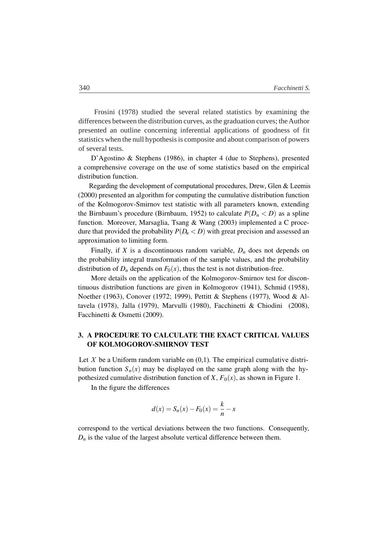Frosini (1978) studied the several related statistics by examining the differences between the distribution curves, as the graduation curves; the Author presented an outline concerning inferential applications of goodness of fit statistics when the null hypothesis is composite and about comparison of powers of several tests.

D'Agostino & Stephens (1986), in chapter 4 (due to Stephens), presented a comprehensive coverage on the use of some statistics based on the empirical distribution function.

Regarding the development of computational procedures, Drew, Glen & Leemis (2000) presented an algorithm for computing the cumulative distribution function of the Kolmogorov-Smirnov test statistic with all parameters known, extending the Birnbaum's procedure (Birnbaum, 1952) to calculate  $P(D_n < D)$  as a spline function. Moreover, Marsaglia, Tsang & Wang (2003) implemented a C procedure that provided the probability  $P(D_n < D)$  with great precision and assessed an approximation to limiting form.

Finally, if *X* is a discontinuous random variable,  $D_n$  does not depends on the probability integral transformation of the sample values, and the probability distribution of  $D_n$  depends on  $F_0(x)$ , thus the test is not distribution-free.

More details on the application of the Kolmogorov-Smirnov test for discontinuous distribution functions are given in Kolmogorov (1941), Schmid (1958), Noether (1963), Conover (1972; 1999), Pettitt & Stephens (1977), Wood & Altavela (1978), Jalla (1979), Marvulli (1980), Facchinetti & Chiodini (2008), Facchinetti & Osmetti (2009).

# 3. A PROCEDURE TO CALCULATE THE EXACT CRITICAL VALUES OF KOLMOGOROV-SMIRNOV TEST

Let  $X$  be a Uniform random variable on  $(0,1)$ . The empirical cumulative distribution function  $S_n(x)$  may be displayed on the same graph along with the hypothesized cumulative distribution function of *X*,  $F_0(x)$ , as shown in Figure 1.

In the figure the differences

$$
d(x) = S_n(x) - F_0(x) = \frac{k}{n} - x
$$

correspond to the vertical deviations between the two functions. Consequently,  $D_n$  is the value of the largest absolute vertical difference between them.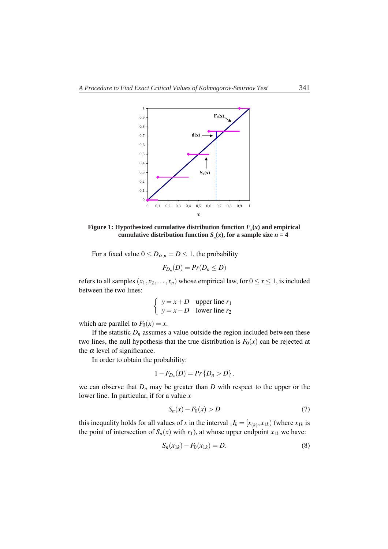

**Figure 1:** Hypothesized cumulative distribution function  $F_0(x)$  and empirical cumulative distribution function  $S_n(x)$ , for a sample size  $n = 4$ 

For a fixed value  $0 \leq D_{\alpha,n} = D \leq 1$ , the probability

$$
F_{D_n}(D)=Pr(D_n\leq D)
$$

refers to all samples  $(x_1, x_2, \ldots, x_n)$  whose empirical law, for  $0 \le x \le 1$ , is included between the two lines:

$$
\begin{cases}\ny = x + D & \text{upper line } r_1 \\
y = x - D & \text{lower line } r_2\n\end{cases}
$$

which are parallel to  $F_0(x) = x$ .

If the statistic  $D_n$  assumes a value outside the region included between these two lines, the null hypothesis that the true distribution is  $F_0(x)$  can be rejected at the  $\alpha$  level of significance.

In order to obtain the probability:

$$
1-F_{D_n}(D)=Pr\{D_n>D\}.
$$

we can observe that  $D_n$  may be greater than  $D$  with respect to the upper or the lower line. In particular, if for a value *x*

$$
S_n(x) - F_0(x) > D \tag{7}
$$

this inequality holds for all values of *x* in the interval  $I_k = [x_{(k)}, x_{1k})$  (where  $x_{1k}$  is the point of intersection of  $S_n(x)$  with  $r_1$ ), at whose upper endpoint  $x_{1k}$  we have:

$$
S_n(x_{1k}) - F_0(x_{1k}) = D.
$$
 (8)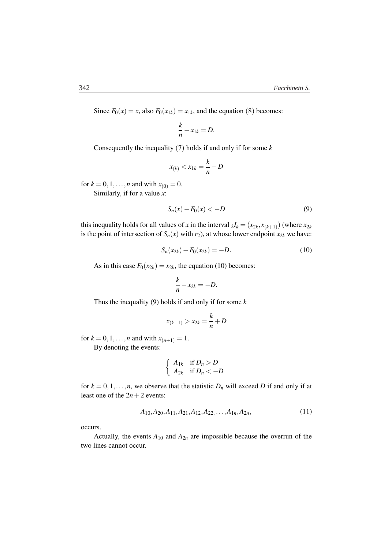Since  $F_0(x) = x$ , also  $F_0(x_{1k}) = x_{1k}$ , and the equation (8) becomes:

$$
\frac{k}{n} - x_{1k} = D.
$$

Consequently the inequality (7) holds if and only if for some *k*

$$
x_{(k)} < x_{1k} = \frac{k}{n} - D
$$

for  $k = 0, 1, ..., n$  and with  $x_{(0)} = 0$ . Similarly, if for a value *x*:

$$
S_n(x) - F_0(x) < -D \tag{9}
$$

this inequality holds for all values of *x* in the interval  $_2I_k = (x_{2k}, x_{(k+1)})$  (where  $x_{2k}$ is the point of intersection of  $S_n(x)$  with  $r_2$ ), at whose lower endpoint  $x_{2k}$  we have:

$$
S_n(x_{2k}) - F_0(x_{2k}) = -D.
$$
 (10)

As in this case  $F_0(x_{2k}) = x_{2k}$ , the equation (10) becomes:

$$
\frac{k}{n}-x_{2k}=-D.
$$

Thus the inequality (9) holds if and only if for some *k*

$$
x_{(k+1)} > x_{2k} = \frac{k}{n} + D
$$

for  $k = 0, 1, ..., n$  and with  $x_{(n+1)} = 1$ .

By denoting the events:

$$
\begin{cases} A_{1k} & \text{if } D_n > D \\ A_{2k} & \text{if } D_n < -D \end{cases}
$$

for  $k = 0, 1, \ldots, n$ , we observe that the statistic  $D_n$  will exceed *D* if and only if at least one of the  $2n+2$  events:

$$
A_{10}, A_{20}, A_{11}, A_{21}, A_{12}, A_{22}, \dots, A_{1n}, A_{2n}, \tag{11}
$$

occurs.

Actually, the events  $A_{10}$  and  $A_{2n}$  are impossible because the overrun of the two lines cannot occur.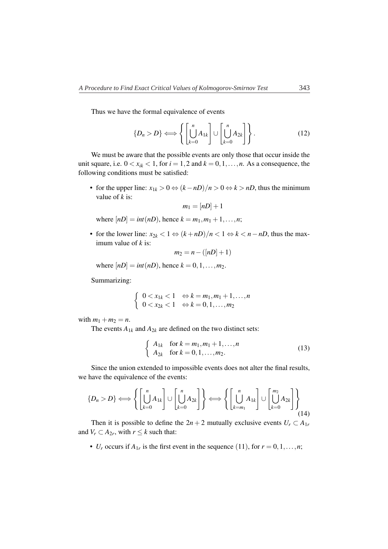Thus we have the formal equivalence of events

$$
\{D_n > D\} \Longleftrightarrow \left\{ \left[ \bigcup_{k=0}^n A_{1k} \right] \cup \left[ \bigcup_{k=0}^n A_{2k} \right] \right\}.
$$
 (12)

We must be aware that the possible events are only those that occur inside the unit square, i.e.  $0 < x_{ik} < 1$ , for  $i = 1, 2$  and  $k = 0, 1, \ldots, n$ . As a consequence, the following conditions must be satisfied:

• for the upper line:  $x_{1k} > 0 \Leftrightarrow (k - nD)/n > 0 \Leftrightarrow k > nD$ , thus the minimum value of *k* is:

$$
m_1 = [nD]+1
$$

where  $[nD] = int(nD)$ , hence  $k = m_1, m_1 + 1, ..., n$ ;

• for the lower line:  $x_{2k} < 1 \Leftrightarrow (k+nD)/n < 1 \Leftrightarrow k < n-nD$ , thus the maximum value of *k* is:

$$
m_2 = n - ([nD]+1)
$$

where  $[nD] = int(nD)$ , hence  $k = 0, 1, ..., m_2$ .

Summarizing:

$$
\left\{\n\begin{array}{ll}\n0 < x_{1k} < 1 & \Leftrightarrow k = m_1, m_1 + 1, \ldots, n \\
0 < x_{2k} < 1 & \Leftrightarrow k = 0, 1, \ldots, m_2\n\end{array}\n\right.
$$

with  $m_1 + m_2 = n$ .

The events  $A_{1k}$  and  $A_{2k}$  are defined on the two distinct sets:

$$
\begin{cases} A_{1k} & \text{for } k = m_1, m_1 + 1, ..., n \\ A_{2k} & \text{for } k = 0, 1, ..., m_2. \end{cases}
$$
 (13)

Since the union extended to impossible events does not alter the final results, we have the equivalence of the events:

$$
\{D_n > D\} \Longleftrightarrow \left\{ \left[ \bigcup_{k=0}^n A_{1k} \right] \cup \left[ \bigcup_{k=0}^n A_{2k} \right] \right\} \Longleftrightarrow \left\{ \left[ \bigcup_{k=m_1}^n A_{1k} \right] \cup \left[ \bigcup_{k=0}^{m_2} A_{2k} \right] \right\}
$$
(14)

Then it is possible to define the  $2n + 2$  mutually exclusive events  $U_r \subset A_{1r}$ and  $V_r \subset A_{2r}$ , with  $r \leq k$  such that:

• *U<sub>r</sub>* occurs if  $A_{1r}$  is the first event in the sequence (11), for  $r = 0, 1, \ldots, n$ ;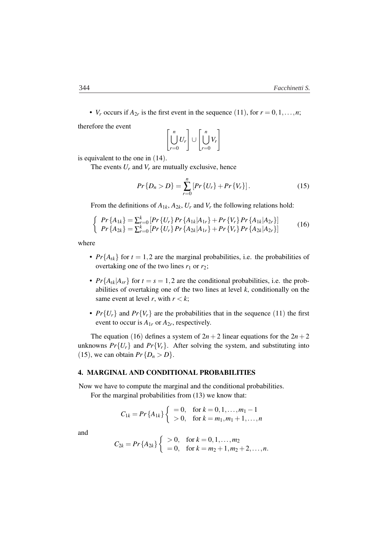• *V<sub>r</sub>* occurs if  $A_{2r}$  is the first event in the sequence (11), for  $r = 0, 1, \ldots, n$ ;

therefore the event

$$
\left[\bigcup_{r=0}^{n} U_r\right] \cup \left[\bigcup_{r=0}^{n} V_r\right]
$$

is equivalent to the one in (14).

The events  $U_r$  and  $V_r$  are mutually exclusive, hence

$$
Pr\{D_n > D\} = \sum_{r=0}^{n} [Pr\{U_r\} + Pr\{V_r\}].
$$
 (15)

From the definitions of  $A_{1k}$ ,  $A_{2k}$ ,  $U_r$  and  $V_r$  the following relations hold:

$$
\begin{cases}\nPr\{A_{1k}\} = \sum_{r=0}^{k} \left[ Pr\{U_r\} Pr\{A_{1k}|A_{1r}\} + Pr\{V_r\} Pr\{A_{1k}|A_{2r}\} \right] \\
Pr\{A_{2k}\} = \sum_{r=0}^{k} \left[ Pr\{U_r\} Pr\{A_{2k}|A_{1r}\} + Pr\{V_r\} Pr\{A_{2k}|A_{2r}\} \right]\n\end{cases}\n\tag{16}
$$

where

- $Pr{A_{tk}}$  for  $t = 1, 2$  are the marginal probabilities, i.e. the probabilities of overtaking one of the two lines  $r_1$  or  $r_2$ ;
- $Pr{A_{tk}|A_{sr}}$  for  $t = s = 1, 2$  are the conditional probabilities, i.e. the probabilities of overtaking one of the two lines at level  $k$ , conditionally on the same event at level *r*, with  $r < k$ ;
- $Pr{U_r}$  and  $Pr{V_r}$  are the probabilities that in the sequence (11) the first event to occur is  $A_{1r}$  or  $A_{2r}$ , respectively.

The equation (16) defines a system of  $2n + 2$  linear equations for the  $2n + 2$ unknowns  $Pr{U_r}$  and  $Pr{V_r}$ . After solving the system, and substituting into (15), we can obtain  $Pr\{D_n > D\}$ .

#### 4. MARGINAL AND CONDITIONAL PROBABILITIES

Now we have to compute the marginal and the conditional probabilities.

For the marginal probabilities from  $(13)$  we know that:

$$
C_{1k} = Pr\{A_{1k}\}\begin{cases} = 0, & \text{for } k = 0, 1, ..., m_1 - 1 \\ > 0, & \text{for } k = m_1, m_1 + 1, ..., n \end{cases}
$$

and

$$
C_{2k} = Pr\{A_{2k}\}\begin{cases} > 0, \quad \text{for } k = 0, 1, \dots, m_2 \\ = 0, \quad \text{for } k = m_2 + 1, m_2 + 2, \dots, n. \end{cases}
$$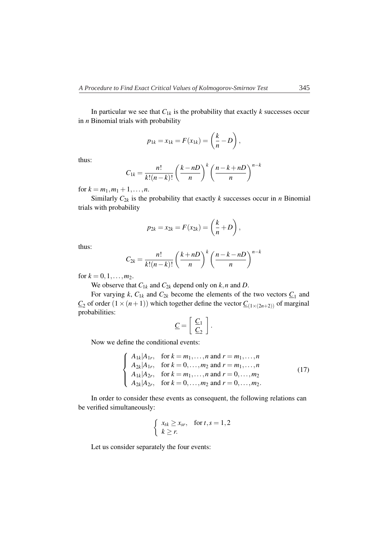In particular we see that  $C_{1k}$  is the probability that exactly  $k$  successes occur in *n* Binomial trials with probability

$$
p_{1k} = x_{1k} = F(x_{1k}) = \left(\frac{k}{n} - D\right),
$$

thus:

$$
C_{1k} = \frac{n!}{k!(n-k)!} \left(\frac{k-nD}{n}\right)^k \left(\frac{n-k+nD}{n}\right)^{n-k}
$$

for  $k = m_1, m_1 + 1, \ldots, n$ .

Similarly  $C_{2k}$  is the probability that exactly *k* successes occur in *n* Binomial trials with probability

$$
p_{2k} = x_{2k} = F(x_{2k}) = \left(\frac{k}{n} + D\right),
$$

thus:

$$
C_{2k} = \frac{n!}{k!(n-k)!} \left(\frac{k+nD}{n}\right)^k \left(\frac{n-k-nD}{n}\right)^{n-k}
$$

for  $k = 0, 1, \ldots, m_2$ .

We observe that  $C_{1k}$  and  $C_{2k}$  depend only on  $k, n$  and  $D$ .

For varying *k*,  $C_{1k}$  and  $C_{2k}$  become the elements of the two vectors  $C_1$  and  $C_2$  of order  $(1 \times (n+1))$  which together define the vector  $C_{(1 \times (2n+2))}$  of marginal probabilities:

$$
\underline{C} = \left[ \begin{array}{c} \underline{C}_1 \\ \underline{C}_2 \end{array} \right].
$$

Now we define the conditional events:

$$
\begin{cases}\nA_{1k}|A_{1r}, & \text{for } k = m_1, ..., n \text{ and } r = m_1, ..., n \\
A_{2k}|A_{1r}, & \text{for } k = 0, ..., m_2 \text{ and } r = m_1, ..., n \\
A_{1k}|A_{2r}, & \text{for } k = m_1, ..., n \text{ and } r = 0, ..., m_2 \\
A_{2k}|A_{2r}, & \text{for } k = 0, ..., m_2 \text{ and } r = 0, ..., m_2.\n\end{cases}
$$
\n(17)

In order to consider these events as consequent, the following relations can be verified simultaneously:

$$
\begin{cases}\nx_{tk} \geq x_{sr}, & \text{for } t, s = 1, 2 \\
k \geq r.\n\end{cases}
$$

Let us consider separately the four events: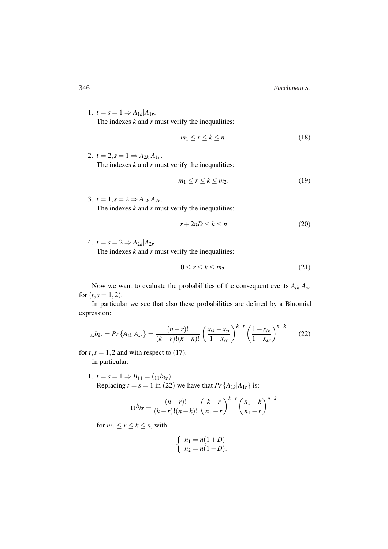1.  $t = s = 1 \Rightarrow A_{1k} | A_{1r}$ . The indexes  $k$  and  $r$  must verify the inequalities:

$$
m_1 \le r \le k \le n. \tag{18}
$$

2.  $t = 2, s = 1 \Rightarrow A_{2k} | A_{1r}$ .

The indexes  $k$  and  $r$  must verify the inequalities:

$$
m_1 \le r \le k \le m_2. \tag{19}
$$

3.  $t = 1, s = 2 \Rightarrow A_{1k} | A_{2r}.$ 

The indexes *k* and *r* must verify the inequalities:

$$
r + 2nD \le k \le n \tag{20}
$$

4.  $t = s = 2 \Rightarrow A_{2k} | A_{2r}$ .

The indexes  $k$  and  $r$  must verify the inequalities:

$$
0 \le r \le k \le m_2. \tag{21}
$$

Now we want to evaluate the probabilities of the consequent events *Atk*|*Asr* for  $(t, s = 1, 2)$ .

In particular we see that also these probabilities are defined by a Binomial expression:

$$
{}_{ts}b_{kr} = Pr\{A_{tk}|A_{sr}\} = \frac{(n-r)!}{(k-r)!(k-n)!} \left(\frac{x_{tk}-x_{sr}}{1-x_{sr}}\right)^{k-r} \left(\frac{1-x_{tk}}{1-x_{sr}}\right)^{n-k} \tag{22}
$$

for  $t, s = 1, 2$  and with respect to (17).

In particular:

1.  $t = s = 1 \Rightarrow \underline{B}_{11} = (11b_{kr}).$ Replacing  $t = s = 1$  in (22) we have that  $Pr\{A_{1k}|A_{1r}\}\$ is:

$$
_{11}b_{kr} = \frac{(n-r)!}{(k-r)!(n-k)!} \left(\frac{k-r}{n_1-r}\right)^{k-r} \left(\frac{n_1-k}{n_1-r}\right)^{n-k}
$$

for  $m_1 \le r \le k \le n$ , with:

$$
\begin{cases}\nn_1 = n(1+D) \\
n_2 = n(1-D).\n\end{cases}
$$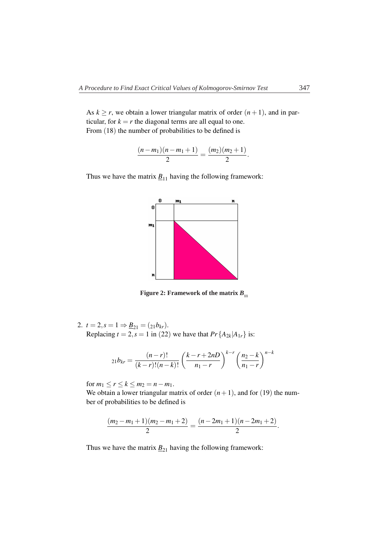As  $k \ge r$ , we obtain a lower triangular matrix of order  $(n + 1)$ , and in particular, for  $k = r$  the diagonal terms are all equal to one. From  $(18)$  the number of probabilities to be defined is

$$
\frac{(n-m_1)(n-m_1+1)}{2}=\frac{(m_2)(m_2+1)}{2}.
$$

Thus we have the matrix  $\underline{B}_{11}$  having the following framework:



**Figure 2: Framework of the matrix**  $B_{11}$ 

2.  $t = 2, s = 1 \Rightarrow \underline{B}_{21} = (21b_{kr}).$ Replacing  $t = 2$ ,  $s = 1$  in (22) we have that  $Pr{A_{2k}|A_{1r}}$  is:

$$
_{21}b_{kr} = \frac{(n-r)!}{(k-r)!(n-k)!} \left(\frac{k-r+2nD}{n_1-r}\right)^{k-r} \left(\frac{n_2-k}{n_1-r}\right)^{n-k}
$$

for  $m_1 \le r \le k \le m_2 = n - m_1$ .

We obtain a lower triangular matrix of order  $(n+1)$ , and for (19) the number of probabilities to be defined is

$$
\frac{(m_2-m_1+1)(m_2-m_1+2)}{2}=\frac{(n-2m_1+1)(n-2m_1+2)}{2}.
$$

Thus we have the matrix  $\underline{B}_{21}$  having the following framework: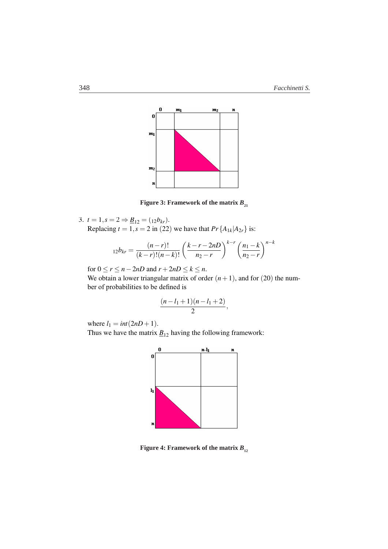

Figure 3: Framework of the matrix  $B_{_{21}}$ 

3.  $t = 1, s = 2 \Rightarrow \underline{B}_{12} = (12b_{kr}).$ Replacing  $t = 1$ ,  $s = 2$  in (22) we have that  $Pr\{A_{1k}|A_{2r}\}\$ is:

$$
_{12}b_{kr} = \frac{(n-r)!}{(k-r)!(n-k)!} \left(\frac{k-r-2nD}{n_2-r}\right)^{k-r} \left(\frac{n_1-k}{n_2-r}\right)^{n-k}
$$

for  $0 \le r \le n - 2nD$  and  $r + 2nD \le k \le n$ .

We obtain a lower triangular matrix of order  $(n+1)$ , and for  $(20)$  the number of probabilities to be defined is

$$
\frac{(n-l_1+1)(n-l_1+2)}{2},
$$

where  $l_1 = int(2nD + 1)$ .

Thus we have the matrix  $\underline{B}_{12}$  having the following framework:



**Figure 4: Framework of the matrix**  $B_{12}$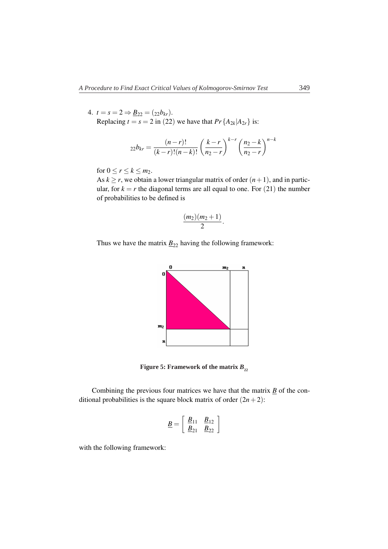4.  $t = s = 2 \Rightarrow \underline{B}_{22} = (22b_{kr}).$ Replacing  $t = s = 2$  in (22) we have that  $Pr{A_{2k}|A_{2r}}$  is:

$$
_{22}b_{kr} = \frac{(n-r)!}{(k-r)!(n-k)!} \left(\frac{k-r}{n_2-r}\right)^{k-r} \left(\frac{n_2-k}{n_2-r}\right)^{n-k}
$$

for  $0 \le r \le k \le m_2$ .

As  $k \ge r$ , we obtain a lower triangular matrix of order  $(n+1)$ , and in particular, for  $k = r$  the diagonal terms are all equal to one. For  $(21)$  the number of probabilities to be defined is

$$
\frac{(m_2)(m_2+1)}{2}.
$$

Thus we have the matrix  $\underline{B}_{22}$  having the following framework:



Figure 5: Framework of the matrix  $B_{_{22}}$ 

Combining the previous four matrices we have that the matrix *B* of the conditional probabilities is the square block matrix of order  $(2n+2)$ :

$$
\underline{B} = \left[ \begin{array}{cc} \underline{B}_{11} & \underline{B}_{12} \\ \underline{B}_{21} & \underline{B}_{22} \end{array} \right]
$$

with the following framework: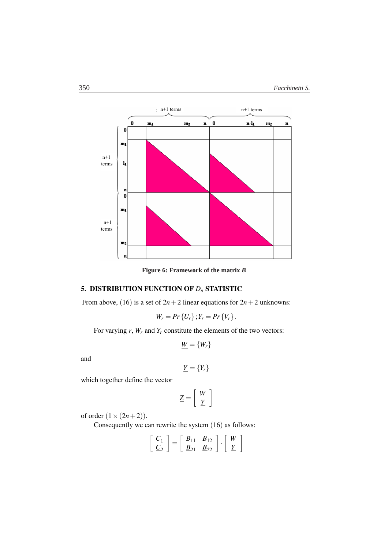

Figure 6: Framework of the matrix *B* **Figure 6: Framework of the matrix** *B*

# 5. DISTRIBUTION FUNCTION OF *Dn* STATISTIC

From above, (16) is a set of  $2n + 2$  linear equations for  $2n + 2$  unknowns:

$$
W_r = Pr\{U_r\}; Y_r = Pr\{V_r\}.
$$

For varying *r*, *Wr* and *Yr* constitute the elements of the two vectors:

$$
\underline{W} = \{W_r\}
$$

and

$$
\underline{Y} = \{Y_r\}
$$

which together define the vector

$$
\underline{Z} = \left[ \begin{array}{c} \underline{W} \\ \underline{Y} \end{array} \right]
$$

of order  $(1 \times (2n+2))$ .

Consequently we can rewrite the system (16) as follows:

$$
\left[\begin{array}{c}\underline{C}_1\\ \underline{C}_2\end{array}\right]=\left[\begin{array}{cc}\underline{B}_{11} & \underline{B}_{12}\\ \underline{B}_{21} & \underline{B}_{22}\end{array}\right]\cdot\left[\begin{array}{c}\underline{W}\\ \underline{Y}\end{array}\right]
$$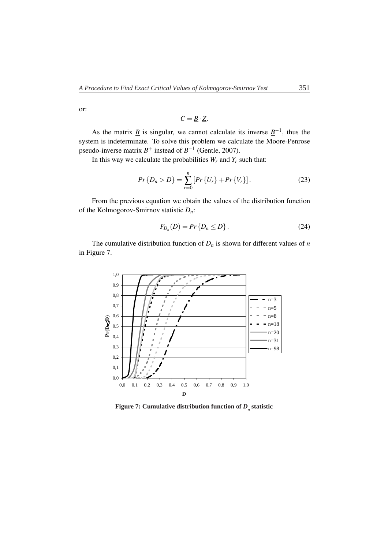or:

$$
\underline{C} = \underline{B} \cdot \underline{Z}.
$$

As the matrix *B* is singular, we cannot calculate its inverse  $B^{-1}$ , thus the system is indeterminate. To solve this problem we calculate the Moore-Penrose pseudo-inverse matrix  $\underline{B}^+$  instead of  $\underline{B}^{-1}$  (Gentle, 2007).

In this way we calculate the probabilities  $W_r$  and  $Y_r$  such that:

$$
Pr\{D_n > D\} = \sum_{r=0}^{n} [Pr\{U_r\} + Pr\{V_r\}].
$$
 (23)

From the previous equation we obtain the values of the distribution function of the Kolmogorov-Smirnov statistic *Dn*:

$$
F_{D_n}(D) = Pr\{D_n \le D\}.
$$
 (24)

The cumulative distribution function of  $D_n$  is shown for different values of  $n$ in Figure 7.



Figure 7: Cumulative distribution function of  $D_{_n}$  statistic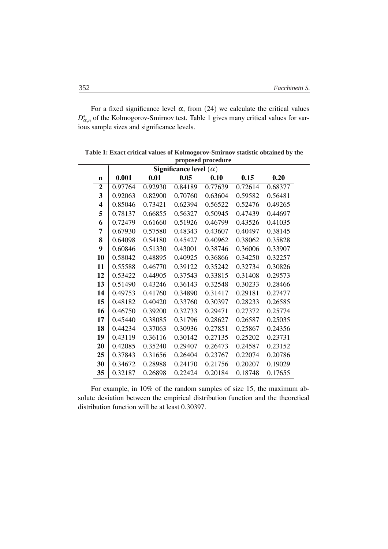For a fixed significance level  $\alpha$ , from (24) we calculate the critical values *D*<sup>∗</sup><sub>α,*n*</sub> of the Kolmogorov-Smirnov test. Table 1 gives many critical values for various sample sizes and significance levels.

|                |         |         |                               | proposeu proceuure |         |         |
|----------------|---------|---------|-------------------------------|--------------------|---------|---------|
|                |         |         | Significance level $(\alpha)$ |                    |         |         |
| $\mathbf n$    | 0.001   | 0.01    | 0.05                          | 0.10               | 0.15    | 0.20    |
| $\overline{2}$ | 0.97764 | 0.92930 | 0.84189                       | 0.77639            | 0.72614 | 0.68377 |
| 3              | 0.92063 | 0.82900 | 0.70760                       | 0.63604            | 0.59582 | 0.56481 |
| 4              | 0.85046 | 0.73421 | 0.62394                       | 0.56522            | 0.52476 | 0.49265 |
| 5              | 0.78137 | 0.66855 | 0.56327                       | 0.50945            | 0.47439 | 0.44697 |
| 6              | 0.72479 | 0.61660 | 0.51926                       | 0.46799            | 0.43526 | 0.41035 |
| 7              | 0.67930 | 0.57580 | 0.48343                       | 0.43607            | 0.40497 | 0.38145 |
| 8              | 0.64098 | 0.54180 | 0.45427                       | 0.40962            | 0.38062 | 0.35828 |
| 9              | 0.60846 | 0.51330 | 0.43001                       | 0.38746            | 0.36006 | 0.33907 |
| 10             | 0.58042 | 0.48895 | 0.40925                       | 0.36866            | 0.34250 | 0.32257 |
| 11             | 0.55588 | 0.46770 | 0.39122                       | 0.35242            | 0.32734 | 0.30826 |
| 12             | 0.53422 | 0.44905 | 0.37543                       | 0.33815            | 0.31408 | 0.29573 |
| 13             | 0.51490 | 0.43246 | 0.36143                       | 0.32548            | 0.30233 | 0.28466 |
| 14             | 0.49753 | 0.41760 | 0.34890                       | 0.31417            | 0.29181 | 0.27477 |
| 15             | 0.48182 | 0.40420 | 0.33760                       | 0.30397            | 0.28233 | 0.26585 |
| 16             | 0.46750 | 0.39200 | 0.32733                       | 0.29471            | 0.27372 | 0.25774 |
| 17             | 0.45440 | 0.38085 | 0.31796                       | 0.28627            | 0.26587 | 0.25035 |
| 18             | 0.44234 | 0.37063 | 0.30936                       | 0.27851            | 0.25867 | 0.24356 |
| 19             | 0.43119 | 0.36116 | 0.30142                       | 0.27135            | 0.25202 | 0.23731 |
| 20             | 0.42085 | 0.35240 | 0.29407                       | 0.26473            | 0.24587 | 0.23152 |
| 25             | 0.37843 | 0.31656 | 0.26404                       | 0.23767            | 0.22074 | 0.20786 |
| 30             | 0.34672 | 0.28988 | 0.24170                       | 0.21756            | 0.20207 | 0.19029 |
| 35             | 0.32187 | 0.26898 | 0.22424                       | 0.20184            | 0.18748 | 0.17655 |

Table 1: Exact critical values of Kolmogorov-Smirnov statistic obtained by the **proposed procedure**

For example, in 10% of the random samples of size 15, the maximum absolute deviation between the empirical distribution function and the theoretical distribution function will be at least 0*.*30397.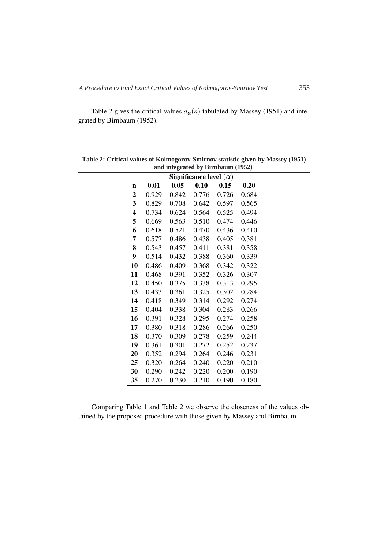Table 2 gives the critical values  $d_{\alpha}(n)$  tabulated by Massey (1951) and integrated by Birnbaum (1952).

| Significance level $(\alpha)$ |       |       |       |       |       |  |  |  |  |  |
|-------------------------------|-------|-------|-------|-------|-------|--|--|--|--|--|
|                               |       |       |       |       |       |  |  |  |  |  |
| n                             | 0.01  | 0.05  | 0.10  | 0.15  | 0.20  |  |  |  |  |  |
| $\overline{2}$                | 0.929 | 0.842 | 0.776 | 0.726 | 0.684 |  |  |  |  |  |
| 3                             | 0.829 | 0.708 | 0.642 | 0.597 | 0.565 |  |  |  |  |  |
| 4                             | 0.734 | 0.624 | 0.564 | 0.525 | 0.494 |  |  |  |  |  |
| 5                             | 0.669 | 0.563 | 0.510 | 0.474 | 0.446 |  |  |  |  |  |
| 6                             | 0.618 | 0.521 | 0.470 | 0.436 | 0.410 |  |  |  |  |  |
| 7                             | 0.577 | 0.486 | 0.438 | 0.405 | 0.381 |  |  |  |  |  |
| 8                             | 0.543 | 0.457 | 0.411 | 0.381 | 0.358 |  |  |  |  |  |
| 9                             | 0.514 | 0.432 | 0.388 | 0.360 | 0.339 |  |  |  |  |  |
| 10                            | 0.486 | 0.409 | 0.368 | 0.342 | 0.322 |  |  |  |  |  |
| 11                            | 0.468 | 0.391 | 0.352 | 0.326 | 0.307 |  |  |  |  |  |
| 12                            | 0.450 | 0.375 | 0.338 | 0.313 | 0.295 |  |  |  |  |  |
| 13                            | 0.433 | 0.361 | 0.325 | 0.302 | 0.284 |  |  |  |  |  |
| 14                            | 0.418 | 0.349 | 0.314 | 0.292 | 0.274 |  |  |  |  |  |
| 15                            | 0.404 | 0.338 | 0.304 | 0.283 | 0.266 |  |  |  |  |  |
| 16                            | 0.391 | 0.328 | 0.295 | 0.274 | 0.258 |  |  |  |  |  |
| 17                            | 0.380 | 0.318 | 0.286 | 0.266 | 0.250 |  |  |  |  |  |
| 18                            | 0.370 | 0.309 | 0.278 | 0.259 | 0.244 |  |  |  |  |  |
| 19                            | 0.361 | 0.301 | 0.272 | 0.252 | 0.237 |  |  |  |  |  |
| 20                            | 0.352 | 0.294 | 0.264 | 0.246 | 0.231 |  |  |  |  |  |
| 25                            | 0.320 | 0.264 | 0.240 | 0.220 | 0.210 |  |  |  |  |  |
| 30                            | 0.290 | 0.242 | 0.220 | 0.200 | 0.190 |  |  |  |  |  |
| 35                            | 0.270 | 0.230 | 0.210 | 0.190 | 0.180 |  |  |  |  |  |

**Table 2: Critical values of Kolmogorov-Smirnov statistic given by Massey (1951) and integrated by Birnbaum (1952)**

Comparing Table 1 and Table 2 we observe the closeness of the values obtained by the proposed procedure with those given by Massey and Birnbaum.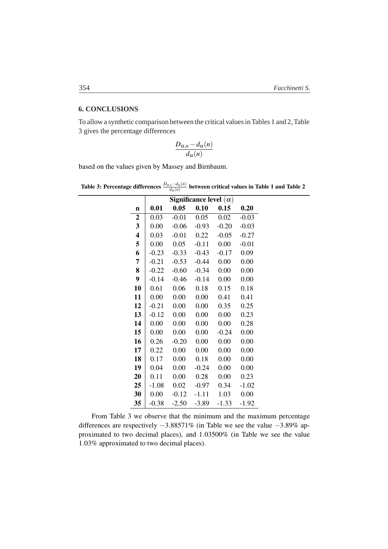### **6. CONCLUSIONS**

To allow a synthetic comparison between the critical values in Tables 1 and 2, Table 3 gives the percentage differences

$$
\frac{D_{\alpha,n}-d_{\alpha}(n)}{d_{\alpha}(n)}
$$

based on the values given by Massey and Birnbaum.

|                         |         | $\alpha$ u |                               |         |         |
|-------------------------|---------|------------|-------------------------------|---------|---------|
|                         |         |            | Significance level $(\alpha)$ |         |         |
| $\mathbf n$             | 0.01    | 0.05       | 0.10                          | 0.15    | 0.20    |
| $\boldsymbol{2}$        | 0.03    | $-0.01$    | 0.05                          | 0.02    | $-0.03$ |
| 3                       | 0.00    | $-0.06$    | $-0.93$                       | $-0.20$ | $-0.03$ |
| $\overline{\mathbf{4}}$ | 0.03    | $-0.01$    | 0.22                          | $-0.05$ | $-0.27$ |
| 5                       | 0.00    | 0.05       | $-0.11$                       | 0.00    | $-0.01$ |
| 6                       | $-0.23$ | $-0.33$    | $-0.43$                       | $-0.17$ | 0.09    |
| 7                       | $-0.21$ | $-0.53$    | $-0.44$                       | 0.00    | 0.00    |
| 8                       | $-0.22$ | $-0.60$    | $-0.34$                       | 0.00    | 0.00    |
| 9                       | $-0.14$ | $-0.46$    | $-0.14$                       | 0.00    | 0.00    |
| 10                      | 0.61    | 0.06       | 0.18                          | 0.15    | 0.18    |
| 11                      | 0.00    | 0.00       | 0.00                          | 0.41    | 0.41    |
| 12                      | $-0.21$ | 0.00       | 0.00                          | 0.35    | 0.25    |
| 13                      | $-0.12$ | 0.00       | 0.00                          | 0.00    | 0.23    |
| 14                      | 0.00    | 0.00       | 0.00                          | 0.00    | 0.28    |
| 15                      | 0.00    | 0.00       | 0.00                          | $-0.24$ | 0.00    |
| 16                      | 0.26    | $-0.20$    | 0.00                          | 0.00    | 0.00    |
| 17                      | 0.22    | 0.00       | 0.00                          | 0.00    | 0.00    |
| 18                      | 0.17    | 0.00       | 0.18                          | 0.00    | 0.00    |
| 19                      | 0.04    | 0.00       | $-0.24$                       | 0.00    | 0.00    |
| 20                      | 0.11    | 0.00       | 0.28                          | 0.00    | 0.23    |
| 25                      | $-1.08$ | 0.02       | $-0.97$                       | 0.34    | $-1.02$ |
| 30                      | 0.00    | $-0.12$    | $-1.11$                       | 1.03    | 0.00    |
| 35                      | $-0.38$ | $-2.50$    | $-3.89$                       | $-1.33$ | $-1.92$ |

Table 3: Percentage differences  $\frac{D_{\alpha,n}-d_{\alpha}(n)}{d_{\alpha}(n)}$  between critical values in Table 1 and Table 2

From Table 3 we observe that the minimum and the maximum percentage differences are respectively −3*.*88571% (in Table we see the value −3*.*89% approximated to two decimal places), and 1*.*03500% (in Table we see the value *.*03% approximated to two decimal places).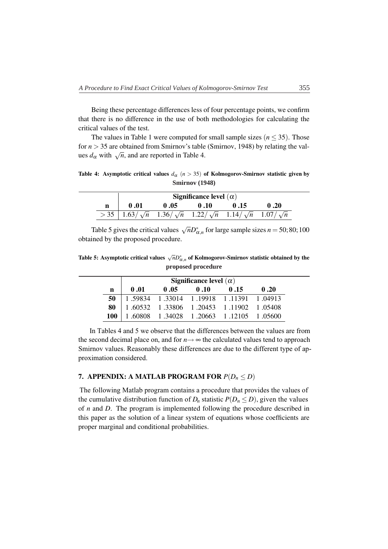Being these percentage differences less of four percentage points, we confirm that there is no difference in the use of both methodologies for calculating the critical values of the test.

The values in Table 1 were computed for small sample sizes  $(n \leq 35)$ . Those for  $n > 35$  are obtained from Smirnov's table (Smirnov, 1948) by relating the values  $d_{\alpha}$  with  $\sqrt{n}$ , and are reported in Table 4.

Table 4: Asymptotic critical values  $d_{\alpha}$  ( $n > 35$ ) of Kolmogorov-Smirnov statistic given by **Smirnov (1948)**

|   |                                                                                               |      | Significance level $(\alpha)$ |      |      |
|---|-----------------------------------------------------------------------------------------------|------|-------------------------------|------|------|
| n | 0.01                                                                                          | 0.05 | 0.10                          | 0.15 | 0.20 |
|   | $>$ 35   1.63/ $\sqrt{n}$ 1.36/ $\sqrt{n}$ 1.22/ $\sqrt{n}$ 1.14/ $\sqrt{n}$ 1.07/ $\sqrt{n}$ |      |                               |      |      |

Table 5 gives the critical values  $\sqrt{n}D_{\alpha,n}^*$  for large sample sizes *n* = 50; 80; 100 obtained by the proposed procedure.

Table 5: Asymptotic critical values √*nD*<sup>∗</sup> <sup>α</sup>*,<sup>n</sup>* of Kolmogorov-Smirnov statistic obtained by the **proposed procedure**

|     | Significance level $(\alpha)$                                                   |      |      |                                         |      |  |  |
|-----|---------------------------------------------------------------------------------|------|------|-----------------------------------------|------|--|--|
| n   | 0.01                                                                            | 0.05 | 0.10 | 0.15                                    | 0.20 |  |  |
| 50  | $\begin{bmatrix} 1.59834 & 1.33014 & 1.19918 & 1.11391 & 1.04913 \end{bmatrix}$ |      |      |                                         |      |  |  |
| 80  |                                                                                 |      |      | 1.60532 1.33806 1.20453 1.11902 1.05408 |      |  |  |
| 100 |                                                                                 |      |      | 1.60808 1.34028 1.20663 1.12105 1.05600 |      |  |  |

In Tables 4 and 5 we observe that the differences between the values are from the second decimal place on, and for  $n \rightarrow \infty$  the calculated values tend to approach Smirnov values. Reasonably these differences are due to the different type of approximation considered.

## 7. APPENDIX: A MATLAB PROGRAM FOR  $P(D_n \leq D)$

The following Matlab program contains a procedure that provides the values of the cumulative distribution function of  $D_n$  statistic  $P(D_n \le D)$ , given the values of *n* and *D*. The program is implemented following the procedure described in this paper as the solution of a linear system of equations whose coefficients are proper marginal and conditional probabilities.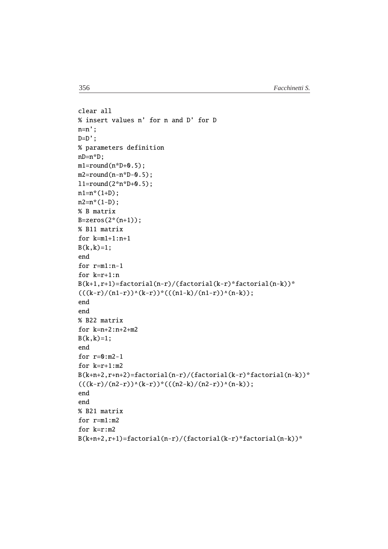```
clear all
% insert values n' for n and D' for D
n=n';
D=D';
% parameters definition
nD=n*D;
ml = round(n * D + 0.5);
m2 = round(n - n * D - 0.5);
l1=round(2*n*D+0.5);n1=n*(1+D);n2=n*(1-D);
% B matrix
B = zeros(2*(n+1));% B11 matrix
for k=m1+1:n+1
B(k, k)=1;end
for r=m1:n-1
for k=r+1:n
B(k+1,r+1)=factorial(n-r)/(factorial(k-r)*factorial(n-k))^*(((k-r)/(n1-r))^(k-r))*(((n1-k)/(n1-r))^(n-k));end
end
% B22 matrix
for k=n+2:n+2+m2B(k, k)=1;end
for r=0:m2-1for k=r+1:m2B(k+n+2,r+n+2)=factorial(n-r)/(factorial(k-r)*factorial(n-k))^*(((k-r)/(n2-r))*(k-r))*(((n2-k)/(n2-r))*(n-k));end
end
% B21 matrix
for r=m1:m2
for k=r:m2
B(k+n+2,r+1)=factorial(n-r)/(factorial(k-r)*factorial(n-k))*
```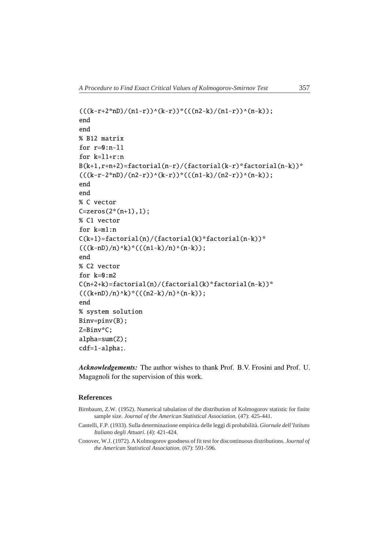```
(((k-r+2*nD)/(n1-r))^*(k-r))^*((n2-k)/(n1-r))^*(n-k));end
end
% B12 matrix
for r=0:n-11for k=l1+r:n
B(k+1,r+n+2)=factorial(n-r)/(factorial(k-r)*factorial(n-k))*
(((k-r-2*nD)/(n2-r))^*(k-r))^*((n1-k)/(n2-r))^*(n-k));end
end
% C vector
C = zeros(2*(n+1), 1);% C1 vector
for k=m1:n
C(k+1)=factorial(n)/(factorial(k)*factorial(n-k))*(((k-nD)/n)<sup>k</sup>*((n1-k)/n)^(n-k));end
% C2 vector
for k=0:m2
C(n+2+k)=factorial(n)/(factorial(k)*factorial(n-k))*(((k+nD)/n)^k)((n2-k)/n)^(n-k));end
% system solution
Binv=pinv(B);
Z=Binv*C;
alpha=sum(Z);
cdf=1-alpha;.
```
*Acknowledgements:* The author wishes to thank Prof. B.V. Frosini and Prof. U. Magagnoli for the supervision of this work.

#### **References**

- Birnbaum, Z.W. (1952). Numerical tabulation of the distribution of Kolmogorov statistic for finite sample size. *Journal of the American Statistical Association.* (47): 425-441.
- Cantelli, F.P. (1933). Sulla determinazione empirica delle leggi di probabilità. *Giornale dell'Istituto Italiano degli Attuari.* (4): 421-424.
- Conover, W.J. (1972). A Kolmogorov goodness of fit test for discontinuous distributions. *Journal of the American Statistical Association.* (67): 591-596.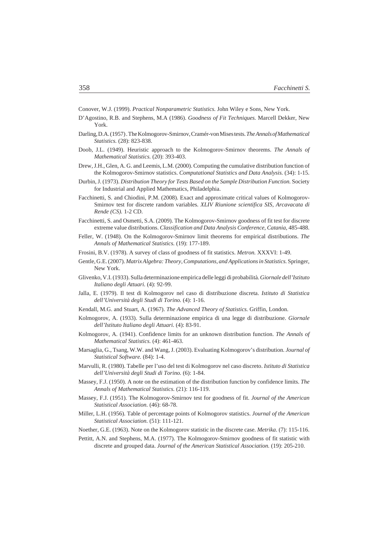Conover, W.J. (1999). *Practical Nonparametric Statistics.* John Wiley e Sons, New York.

- D'Agostino, R.B. and Stephens, M.A (1986). *Goodness of Fit Techniques.* Marcell Dekker, New York.
- Darling, D.A. (1957) . The Kolmogorov-Smirnov, Cramér-von Mises tests. *The Annals of Mathematical Statistics.* (28): 823-838.
- Doob, J.L. (1949). Heuristic approach to the Kolmogorov-Smirnov theorems. *The Annals of Mathematical Statistics.* (20): 393-403.
- Drew, J.H., Glen, A. G. and Leemis, L.M. (2000). Computing the cumulative distribution function of the Kolmogorov-Smirnov statistics. *Computational Statistics and Data Analysis.* (34): 1-15.
- Durbin, J. (1973). *Distribution Theory for Tests Based on the Sample Distribution Function.* Society for Industrial and Applied Mathematics, Philadelphia.
- Facchinetti, S. and Chiodini, P.M. (2008). Exact and approximate critical values of Kolmogorov-Smirnov test for discrete random variables. *XLIV Riunione scientifica SIS, Arcavacata di Rende (CS).* 1-2 CD.
- Facchinetti, S. and Osmetti, S.A. (2009). The Kolmogorov-Smirnov goodness of fit test for discrete extreme value distributions. *Classification and Data Analysis Conference, Catania,* 485-488.
- Feller, W. (1948). On the Kolmogorov-Smirnov limit theorems for empirical distributions. *The Annals of Mathematical Statistics.* (19): 177-189.
- Frosini, B.V. (1978). A survey of class of goodness of fit statistics. *Metron.* XXXVI: 1-49.
- Gentle, G.E. (2007). *Matrix Algebra: Theory, Computations, and Applications in Statistics.*Springer, New York.
- Glivenko, V.I. (1933). Sulla determinazione empirica delle leggi di probabilità. *Giornale dell'Istituto Italiano degli Attuari.* (4): 92-99.
- Jalla, E. (1979). Il test di Kolmogorov nel caso di distribuzione discreta. *Istituto di Statistica dell'Università degli Studi di Torino.* (4): 1-16.
- Kendall, M.G. and Stuart, A. (1967). *The Advanced Theory of Statistics.* Griffin, London.
- Kolmogorov, A. (1933). Sulla determinazione empirica di una legge di distribuzione. *Giornale dell'Istituto Italiano degli Attuari.* (4): 83-91.
- Kolmogorov, A. (1941). Confidence limits for an unknown distribution function. *The Annals of Mathematical Statistics.* (4): 461-463.
- Marsaglia, G., Tsang, W.W. and Wang, J. (2003). Evaluating Kolmogorov's distribution. *Journal of Statistical Software.* (84): 1-4.
- Marvulli, R. (1980). Tabelle per l'uso del test di Kolmogorov nel caso discreto. *Istituto di Statistica dell'Università degli Studi di Torino.* (6): 1-84.
- Massey, F.J. (1950). A note on the estimation of the distribution function by confidence limits. *The Annals of Mathematical Statistics.* (21): 116-119.
- Massey, F.J. (1951). The Kolmogorov-Smirnov test for goodness of fit. *Journal of the American Statistical Association.* (46): 68-78.
- Miller, L.H. (1956). Table of percentage points of Kolmogorov statistics. *Journal of the American Statistical Association.* (51): 111-121.
- Noether, G.E. (1963). Note on the Kolmogorov statistic in the discrete case. *Metrika*. (7): 115-116.
- Pettitt, A.N. and Stephens, M.A. (1977). The Kolmogorov-Smirnov goodness of fit statistic with discrete and grouped data. *Journal of the American Statistical Association.* (19): 205-210.